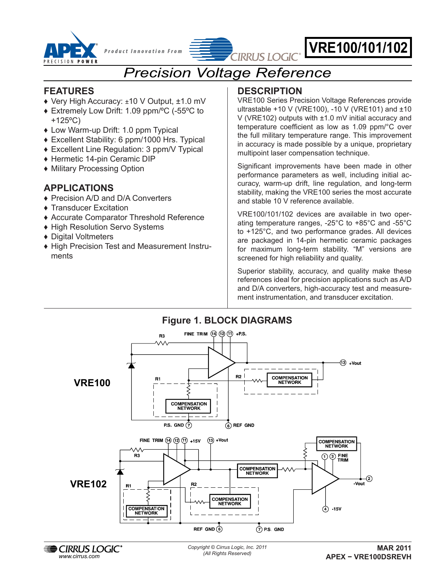

VRE100, VRE101, VRE102 *P r o d u <sup>c</sup> <sup>t</sup> T e c h n o l o g y F r o <sup>m</sup>*

# $\overset{\circ}{\mathcal{L}}$  *Product Innovation From*  $\equiv$   $\frac{1}{\sqrt{2}}$  **VRE100/101/102**

# *Precision Voltage Reference*

### **FEATURES**

- ♦ Very High Accuracy: ±10 V Output, ±1.0 mV
- ♦ Extremely Low Drift: 1.09 ppm/ºC (-55ºC to +125ºC)
- ♦ Low Warm-up Drift: 1.0 ppm Typical
- ♦ Excellent Stability: 6 ppm/1000 Hrs. Typical
- ♦ Excellent Line Regulation: 3 ppm/V Typical
- ♦ Hermetic 14-pin Ceramic DIP
- ♦ Military Processing Option

# **APPLICATIONS**

- ♦ Precision A/D and D/A Converters
- ♦ Transducer Excitation
- ♦ Accurate Comparator Threshold Reference
- ♦ High Resolution Servo Systems
- ♦ Digital Voltmeters
- ♦ High Precision Test and Measurement Instruments

# **DESCRIPTION**

VRE100 Series Precision Voltage References provide ultrastable +10 V (VRE100), -10 V (VRE101) and  $±10$ V (VRE102) outputs with ±1.0 mV initial accuracy and temperature coefficient as low as 1.09 ppm/°C over the full military temperature range. This improvement in accuracy is made possible by a unique, proprietary multipoint laser compensation technique.

Significant improvements have been made in other performance parameters as well, including initial accuracy, warm-up drift, line regulation, and long-term stability, making the VRE100 series the most accurate and stable 10 V reference available.

VRE100/101/102 devices are available in two operating temperature ranges, -25°C to +85°C and -55°C to +125°C, and two performance grades. All devices are packaged in 14-pin hermetic ceramic packages for maximum long-term stability. "M" versions are screened for high reliability and quality.

Superior stability, accuracy, and quality make these references ideal for precision applications such as A/D and D/A converters, high-accuracy test and measurement instrumentation, and transducer excitation.

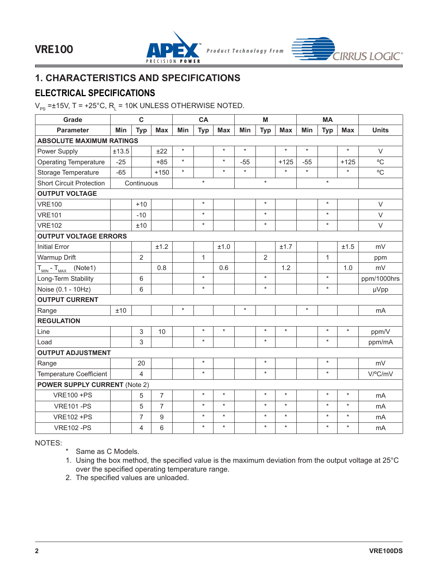



# **1. CHARACTERISTICS AND SPECIFICATIONS**

### **ELECTRICAL SPECIFICATIONS**

 $\rm V_{PS}$  =±15V, T = +25°C, R $_{\rm L}$  = 10K UNLESS OTHERWISE NOTED.

| Grade                                        |       | $\mathbf c$    |                |         | CA           |            |         | M              |            |         | <b>MA</b>    |            |              |
|----------------------------------------------|-------|----------------|----------------|---------|--------------|------------|---------|----------------|------------|---------|--------------|------------|--------------|
| <b>Parameter</b>                             | Min   | <b>Typ</b>     | <b>Max</b>     | Min     | <b>Typ</b>   | <b>Max</b> | Min     | <b>Typ</b>     | <b>Max</b> | Min     | <b>Typ</b>   | <b>Max</b> | <b>Units</b> |
| <b>ABSOLUTE MAXIMUM RATINGS</b>              |       |                |                |         |              |            |         |                |            |         |              |            |              |
| Power Supply                                 | ±13.5 |                | ±22            | $\star$ |              | $\star$    | $\star$ |                | $\star$    | $\star$ |              | $\star$    | $\vee$       |
| <b>Operating Temperature</b>                 | $-25$ |                | $+85$          | $\star$ |              | $\star$    | $-55$   |                | $+125$     | $-55$   |              | $+125$     | °C           |
| Storage Temperature                          | $-65$ |                | $+150$         | $\star$ |              | $\star$    | $\star$ |                | $\star$    | $\star$ |              | $\star$    | °C           |
| <b>Short Circuit Protection</b>              |       | Continuous     |                |         | $\star$      |            |         | $\star$        |            |         | $\star$      |            |              |
| <b>OUTPUT VOLTAGE</b>                        |       |                |                |         |              |            |         |                |            |         |              |            |              |
| <b>VRE100</b>                                |       | $+10$          |                |         | $\star$      |            |         | $\star$        |            |         | $\star$      |            | $\vee$       |
| <b>VRE101</b>                                |       | $-10$          |                |         | $\star$      |            |         | $\star$        |            |         | $\star$      |            | $\vee$       |
| <b>VRE102</b>                                |       | ±10            |                |         | $\star$      |            |         | $\star$        |            |         | $\star$      |            | $\vee$       |
| <b>OUTPUT VOLTAGE ERRORS</b>                 |       |                |                |         |              |            |         |                |            |         |              |            |              |
| <b>Initial Error</b>                         |       |                | ±1.2           |         |              | ±1.0       |         |                | ±1.7       |         |              | ±1.5       | mV           |
| Warmup Drift                                 |       | $\overline{2}$ |                |         | $\mathbf{1}$ |            |         | $\overline{2}$ |            |         | $\mathbf{1}$ |            | ppm          |
| $T_{\text{MIN}}$ - $T_{\text{MAX}}$ (Note 1) |       |                | 0.8            |         |              | 0.6        |         |                | 1.2        |         |              | 1.0        | mV           |
| Long-Term Stability                          |       | 6              |                |         | $\star$      |            |         | $\star$        |            |         | $\star$      |            | ppm/1000hrs  |
| Noise (0.1 - 10Hz)                           |       | 6              |                |         | $\star$      |            |         | $\star$        |            |         | $\star$      |            | µVpp         |
| <b>OUTPUT CURRENT</b>                        |       |                |                |         |              |            |         |                |            |         |              |            |              |
| Range                                        | ±10   |                |                | $\star$ |              |            | $\star$ |                |            | $\star$ |              |            | mA           |
| <b>REGULATION</b>                            |       |                |                |         |              |            |         |                |            |         |              |            |              |
| Line                                         |       | 3              | 10             |         | $\star$      | $\star$    |         | $\star$        | $\star$    |         | $\star$      | $\star$    | ppm/V        |
| Load                                         |       | 3              |                |         | $\star$      |            |         | $\star$        |            |         | $\star$      |            | ppm/mA       |
| <b>OUTPUT ADJUSTMENT</b>                     |       |                |                |         |              |            |         |                |            |         |              |            |              |
| Range                                        |       | 20             |                |         | $\star$      |            |         | $\star$        |            |         | $\star$      |            | mV           |
| Temperature Coefficient                      |       | 4              |                |         | $\star$      |            |         | $\star$        |            |         | $\star$      |            | V/ºC/mV      |
| <b>POWER SUPPLY CURRENT (Note 2)</b>         |       |                |                |         |              |            |         |                |            |         |              |            |              |
| <b>VRE100 +PS</b>                            |       | 5              | $\overline{7}$ |         | $\star$      | $\star$    |         | $\star$        | $\star$    |         | $\star$      | $\star$    | mA           |
| <b>VRE101-PS</b>                             |       | 5              | $\overline{7}$ |         | $\star$      | $\star$    |         | $\star$        | $\star$    |         | $\star$      | $\star$    | mA           |
| <b>VRE102 +PS</b>                            |       | 7              | 9              |         | $\star$      | $\star$    |         | $\star$        | $\star$    |         | $\star$      | $\star$    | mA           |
| <b>VRE102-PS</b>                             |       | 4              | 6              |         | $\star$      | $\star$    |         | $\star$        | $\star$    |         | $\star$      | $\star$    | mA           |

NOTES:

\* Same as C Models.

1. Using the box method, the specified value is the maximum deviation from the output voltage at 25°C over the specified operating temperature range.

2. The specified values are unloaded.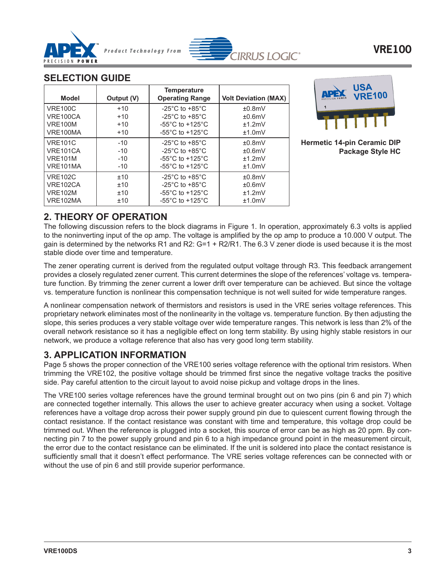



### **SELECTION GUIDE**

| <b>Model</b>   | Output (V) | <b>Temperature</b><br><b>Operating Range</b> | <b>Volt Deviation (MAX)</b> |
|----------------|------------|----------------------------------------------|-----------------------------|
| <b>VRE100C</b> | $+10$      | -25 $^{\circ}$ C to +85 $^{\circ}$ C         | ±0.8mV                      |
| VRE100CA       | $+10$      | $-25^{\circ}$ C to $+85^{\circ}$ C           | ±0.6mV                      |
| <b>VRE100M</b> | $+10$      | $-55^{\circ}$ C to $+125^{\circ}$ C          | ±1.2mV                      |
| VRE100MA       | $+10$      | -55 $^{\circ}$ C to +125 $^{\circ}$ C        | ±1.0mV                      |
| <b>VRE101C</b> | $-10$      | $-25^{\circ}$ C to $+85^{\circ}$ C           | ±0.8mV                      |
| VRE101CA       | $-10$      | $-25^{\circ}$ C to $+85^{\circ}$ C           | ±0.6mV                      |
| <b>VRE101M</b> | $-10$      | $-55^{\circ}$ C to $+125^{\circ}$ C          | $+1.2$ m $V$                |
| VRE101MA       | $-10$      | $-55^{\circ}$ C to $+125^{\circ}$ C          | ±1.0mV                      |
| <b>VRE102C</b> | ±10        | $-25^{\circ}$ C to $+85^{\circ}$ C           | ±0.8mV                      |
| VRE102CA       | ±10        | $-25^{\circ}$ C to $+85^{\circ}$ C           | ±0.6mV                      |
| <b>VRE102M</b> | ±10        | $-55^{\circ}$ C to $+125^{\circ}$ C          | ±1.2mV                      |
| VRE102MA       | ±10        | $-55^{\circ}$ C to $+125^{\circ}$ C          | ±1.0mV                      |



#### **Hermetic 14-pin Ceramic DIP Package Style HC**

## **2. THEORY OF OPERATION**

The following discussion refers to the block diagrams in Figure 1. In operation, approximately 6.3 volts is applied to the noninverting input of the op amp. The voltage is amplified by the op amp to produce a 10.000 V output. The gain is determined by the networks R1 and R2: G=1 + R2/R1. The 6.3 V zener diode is used because it is the most stable diode over time and temperature.

The zener operating current is derived from the regulated output voltage through R3. This feedback arrangement provides a closely regulated zener current. This current determines the slope of the references' voltage vs. temperature function. By trimming the zener current a lower drift over temperature can be achieved. But since the voltage vs. temperature function is nonlinear this compensation technique is not well suited for wide temperature ranges.

A nonlinear compensation network of thermistors and resistors is used in the VRE series voltage references. This proprietary network eliminates most of the nonlinearity in the voltage vs. temperature function. By then adjusting the slope, this series produces a very stable voltage over wide temperature ranges. This network is less than 2% of the overall network resistance so it has a negligible effect on long term stability. By using highly stable resistors in our network, we produce a voltage reference that also has very good long term stability.

### **3. APPLICATION INFORMATION**

Page 5 shows the proper connection of the VRE100 series voltage reference with the optional trim resistors. When trimming the VRE102, the positive voltage should be trimmed first since the negative voltage tracks the positive side. Pay careful attention to the circuit layout to avoid noise pickup and voltage drops in the lines.

The VRE100 series voltage references have the ground terminal brought out on two pins (pin 6 and pin 7) which are connected together internally. This allows the user to achieve greater accuracy when using a socket. Voltage references have a voltage drop across their power supply ground pin due to quiescent current flowing through the contact resistance. If the contact resistance was constant with time and temperature, this voltage drop could be trimmed out. When the reference is plugged into a socket, this source of error can be as high as 20 ppm. By connecting pin 7 to the power supply ground and pin 6 to a high impedance ground point in the measurement circuit, the error due to the contact resistance can be eliminated. If the unit is soldered into place the contact resistance is sufficiently small that it doesn't effect performance. The VRE series voltage references can be connected with or without the use of pin 6 and still provide superior performance.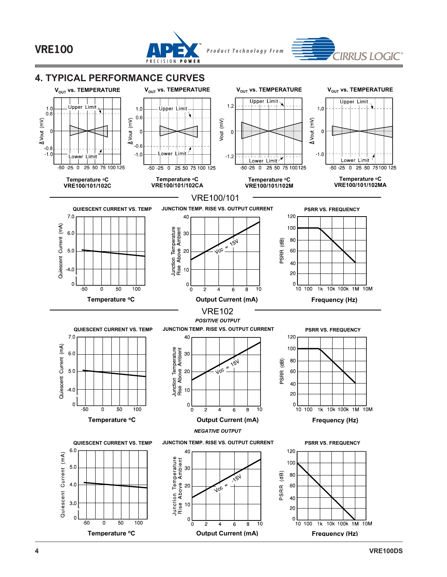

**Output Current (mA)**

6

 $\overline{8}$ 10

 $\overline{4}$ 

 $\mathbf 0$ 2

**4. TYPICAL PERFORMANCE CURVES**

0.6

 $\Omega$ 

 $\binom{m}{k}$ 

 $1.0$ 

Jpper Limi:

# **VRE100**

0.8

 $\mathsf{C}$ 

 $1.0$ 

Üpper



 $V_{\text{OUT}}$  **vs. TEMPERATURE**  $V_{\text{OUT}}$  **vs. TEMPERATURE**  $V_{\text{OUT}}$  **vs. TEMPERATURE**  $V_{\text{OUT}}$  **vs. TEMPERATURE** 

 $(mV)$ 

1.2

 $\mathbf 0$ 

*P r o d u c t T e c h n o l o g y F r o m*

**Upper Limit** 

**IRRUS LOGIC** 

**Upper Limit** 

 $1.0$ 

 $\Omega$ 

 $\overline{10M}$ 

**Frequency (Hz)**

 $\overline{1k}$ 

 $10$  100

10k 100k 1M

**Temperature oC**

50

100

 $\Omega$ 

 $-50$